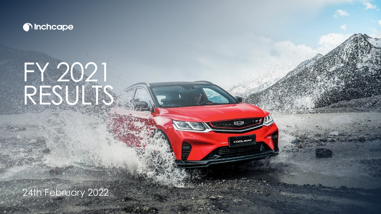

# FY 2021 RESULTS

COOLRAY

24th February 2022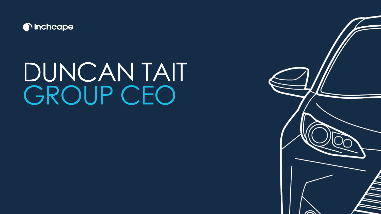

# DUNCAN TAIT GROUP CEO

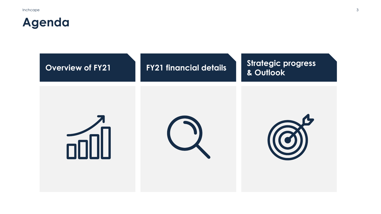## **Agenda**

| <b>Overview of FY21</b> | <b>FY21 financial details</b> | <b>Strategic progress</b><br>& Outlook |
|-------------------------|-------------------------------|----------------------------------------|
|                         |                               |                                        |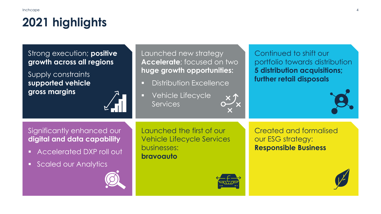### **2021 highlights**

Strong execution; **positive growth across all regions**

Supply constraints **supported vehicle gross margins**



Launched new strategy **Accelerate**; focused on two **huge growth opportunities:**

- **Distribution Excellence**
- Vehicle Lifecycle **Services**

Significantly enhanced our **digital and data capability**

- Accelerated DXP roll out
- Scaled our Analytics

Launched the first of our Vehicle Lifecycle Services businesses: **bravoauto**



Continued to shift our portfolio towards distribution **5 distribution acquisitions; further retail disposals**



Created and formalised our ESG strategy: **Responsible Business**

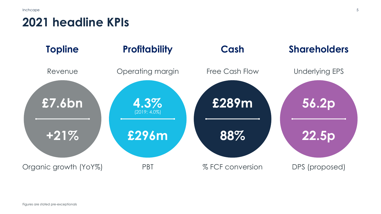#### **2021 headline KPIs**

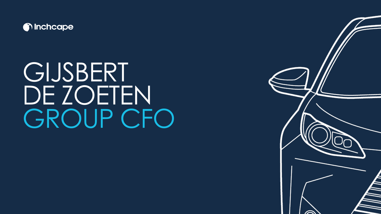

## **GIJSBERT** DE ZOETEN GROUP CFO

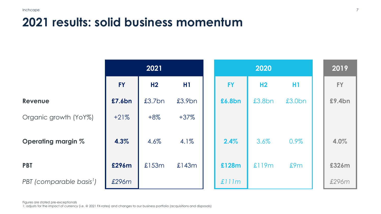### **2021 results: solid business momentum**

|                                      | 2021      |                |        | 2020      |                |                | 2019      |
|--------------------------------------|-----------|----------------|--------|-----------|----------------|----------------|-----------|
|                                      | <b>FY</b> | H <sub>2</sub> | H1     | <b>FY</b> | H <sub>2</sub> | H <sub>1</sub> | <b>FY</b> |
| <b>Revenue</b>                       | £7.6bn    | £3.7bn         | £3.9bn | £6.8bn    | £3.8bn         | £3.0bn         | £9.4bn    |
| Organic growth (YoY%)                | $+21%$    | $+8\%$         | $+37%$ |           |                |                |           |
| <b>Operating margin %</b>            | 4.3%      | 4.6%           | 4.1%   | 2.4%      | 3.6%           | 0.9%           | 4.0%      |
| <b>PBT</b>                           | £296m     | £153m          | £143m  | £128m     | £119m          | £9m            | £326m     |
| PBT (comparable basis <sup>1</sup> ) | £296m     |                |        | £111m     |                |                | £296m     |

Figures are stated pre-exceptionals

1: adjusts for the impact of currency (i.e. @ 2021 FX-rates) and changes to our business portfolio (acquisitions and disposals)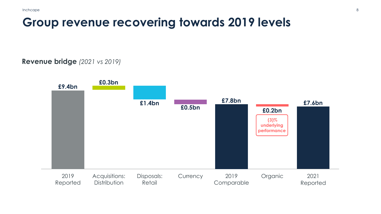#### **Group revenue recovering towards 2019 levels**

#### **Revenue bridge** *(2021 vs 2019)*

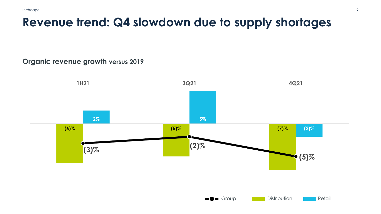### **Revenue trend: Q4 slowdown due to supply shortages**

#### **Organic revenue growth versus 2019**

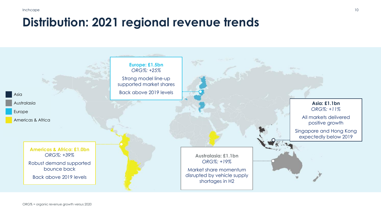#### **Distribution: 2021 regional revenue trends**

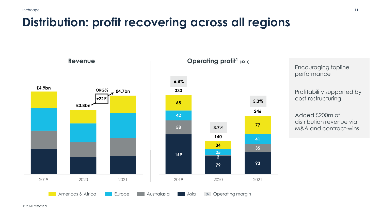### **Distribution: profit recovering across all regions**

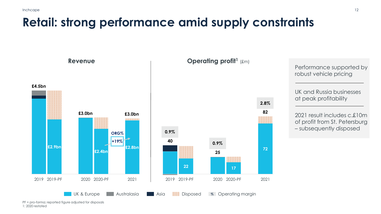### **Retail: strong performance amid supply constraints**



PF = pro-forma; reported figure adjusted for disposals 1: 2020 restated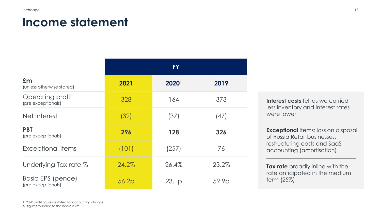#### **Income statement**

|                                                | <b>FY</b> |                     |       |  |  |
|------------------------------------------------|-----------|---------------------|-------|--|--|
| Em<br>(unless otherwise stated)                | 2021      | $2020$ <sup>1</sup> | 2019  |  |  |
| Operating profit<br>(pre exceptionals)         | 328       | 164                 | 373   |  |  |
| Net interest                                   | (32)      | (37)                | (47)  |  |  |
| <b>PBT</b><br>(pre exceptionals)               | 296       | 128                 | 326   |  |  |
| Exceptional items                              | (101)     | (257)               | 76    |  |  |
| Underlying Tax rate %                          | 24.2%     | 26.4%               | 23.2% |  |  |
| <b>Basic EPS (pence)</b><br>(pre exceptionals) | 56.2p     | 23.1p               | 59.9p |  |  |

**Interest costs** fell as we carried less inventory and interest rates were lower

**Exceptional** items: loss on disposal of Russia Retail businesses, restructuring costs and SaaS accounting (amortisation)

**Tax rate** broadly inline with the rate anticipated in the medium term (25%)

1: 2020 profit figures restated for accounting change All figures rounded to the nearest £m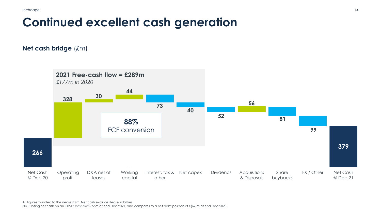### **Continued excellent cash generation**

**Net cash bridge** (£m)

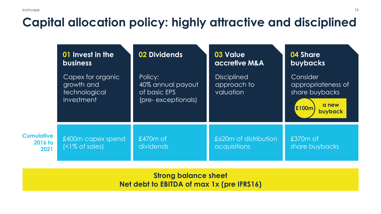### **Capital allocation policy: highly attractive and disciplined**

|                                             | 01 Invest in the<br><b>business</b>                            | 02 Dividends                                                        | 03 Value<br>accretive M&A                      | 04 Share<br><b>buybacks</b>                                                          |  |
|---------------------------------------------|----------------------------------------------------------------|---------------------------------------------------------------------|------------------------------------------------|--------------------------------------------------------------------------------------|--|
|                                             | Capex for organic<br>growth and<br>technological<br>investment | Policy:<br>40% annual payout<br>of basic EPS<br>(pre- exceptionals) | <b>Disciplined</b><br>approach to<br>valuation | Consider<br>appropriateness of<br>share buybacks<br>a new<br><b>£100m</b><br>buyback |  |
| <b>Cumulative</b><br><b>2016 to</b><br>2021 | £400m capex spend<br>(                                         | $£470m$ of<br><b>dividends</b>                                      | £620m of distribution<br>acquisitions          | £370m of<br>share buybacks                                                           |  |

**Strong balance sheet Net debt to EBITDA of max 1x (pre IFRS16)**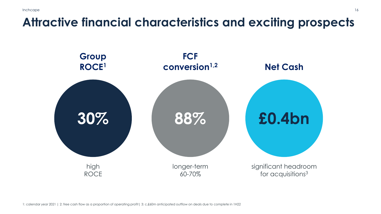### **Attractive financial characteristics and exciting prospects**

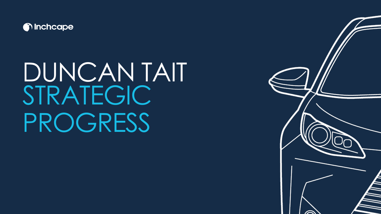

## DUNCAN TAIT STRATEGIC PROGRESS

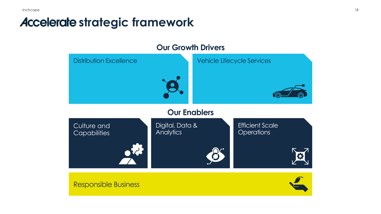#### **Accelerate strategic framework**

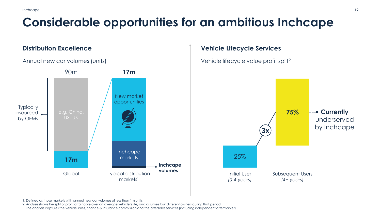### **Considerable opportunities for an ambitious Inchcape**

#### **Distribution Excellence**



#### **Vehicle Lifecycle Services**



1: Defined as those markets with annual new car volumes of less than 1m units

2: Analysis shows the split of profit attainable over an average vehicle's life, and assumes four different owners during that period

The analysis captures the vehicle sales, finance & insurance commission and the aftersales services (including independent aftermarket)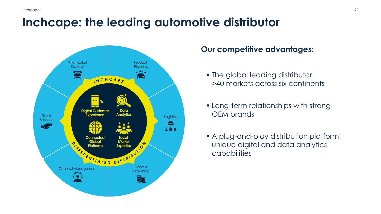#### **Inchcape: the leading automotive distributor**



#### **Our competitive advantages:**

- The global leading distributor: >40 markets across six continents
- **EXECT:** Long-term relationships with strong OEM brands
- A plug-and-play distribution platform: unique digital and data analytics capabilities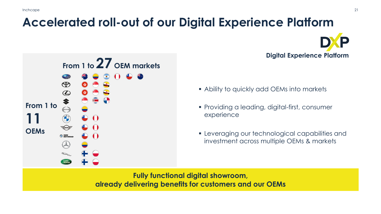## **Accelerated roll-out of our Digital Experience Platform**



**Digital Experience Platform**

- Ability to quickly add OEMs into markets
- Providing a leading, digital-first, consumer experience
- **EXECUTE:** Leveraging our technological capabilities and investment across multiple OEMs & markets

**Fully functional digital showroom, already delivering benefits for customers and our OEMs**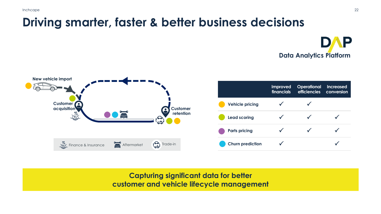### **Driving smarter, faster & better business decisions**

**DAP Data Analytics Platform**



**Capturing significant data for better customer and vehicle lifecycle management**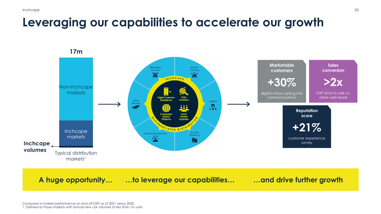#### **Leveraging our capabilities to accelerate our growth**

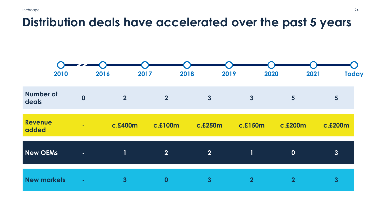#### **Distribution deals have accelerated over the past 5 years**

| 2010                      |                         | 2017<br>2016              |                | 2018<br>2019   | 2020           | 2021           | <b>Today</b>    |
|---------------------------|-------------------------|---------------------------|----------------|----------------|----------------|----------------|-----------------|
| <b>Number of</b><br>deals | $\overline{\mathbf{0}}$ | $\overline{2}$            | $\overline{2}$ | $\mathbf{3}$   | $\mathbf{3}$   | $5\phantom{1}$ | $5\overline{)}$ |
| <b>Revenue</b><br>added   | $\sim$                  | c.£400m                   | c.£100m        | c.£250m        | c.£150m        | c.£200m        | c.£200m         |
| <b>New OEMs</b>           | $\sim$                  | $\mathbf{1}^{\mathsf{t}}$ | $\overline{2}$ | $\overline{2}$ | $\mathbf{1}$   | $\mathbf 0$    | 3               |
| <b>New markets</b>        | ÷.                      | $\overline{3}$            | $\mathbf 0$    | $\mathbf{3}$   | $\overline{2}$ | $\overline{2}$ | $\mathbf{3}$    |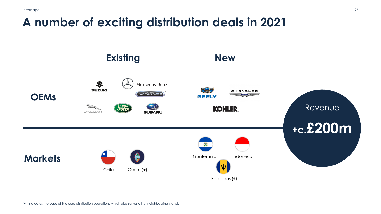#### **A number of exciting distribution deals in 2021**

![](_page_24_Figure_2.jpeg)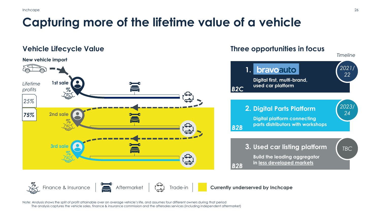### **Capturing more of the lifetime value of a vehicle**

#### **Vehicle Lifecycle Value**

![](_page_25_Figure_3.jpeg)

#### **Three opportunities in focus**

![](_page_25_Figure_5.jpeg)

![](_page_25_Picture_6.jpeg)

Note: Analysis shows the split of profit attainable over an average vehicle's life, and assumes four different owners during that period The analysis captures the vehicle sales, finance & insurance commission and the aftersales services (including independent aftermarket)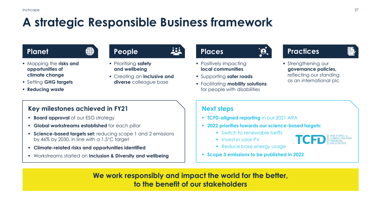### **A strategic Responsible Business framework**

![](_page_26_Picture_3.jpeg)

- Mapping the **risks and opportunities of climate change**
- Setting **GHG targets**
- **Reducing waste**
- Prioritising **safety People** *Places*
- **and wellbeing**
- Creating an **inclusive and diverse** colleague base

- **Positively impacting local communities**
- Supporting **safer roads**
- Facilitating **mobility solutions** for people with disabilities

#### **Planet Practices**

- 
- **Strengthening our governance policies,**  reflecting our standing as an international plc

#### **Key milestones achieved in FY21**

- **E Board approval** of our ESG strategy
- **Global workstreams established** for each pillar
- **Science-based targets set:** reducing scope 1 and 2 emissions by 46% by 2030, in line with a 1.5°C target
- **Climate-related risks and opportunities identified**
- Workstreams started on **Inclusion & Diversity and wellbeing**

#### **Next steps**

- **TCFD-aligned reporting** in our 2021 ARA
- **2022 priorities towards our science-based targets:**
	- Switch to renewable tariffs
	- Invest in solar PV

![](_page_26_Picture_28.jpeg)

- **Reduce base energy usage**
- **Scope 3 emissions to be published in 2022**

**We work responsibly and impact the world for the better, to the benefit of our stakeholders**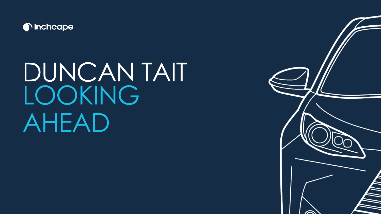![](_page_27_Picture_0.jpeg)

## DUNCAN TAIT LOOKING AHEAD

![](_page_27_Picture_2.jpeg)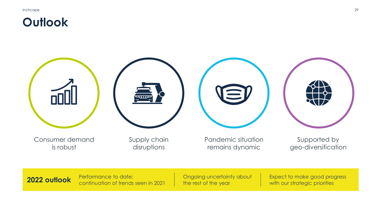#### **Outlook**

**2022 outlook** Performance to date:

continuation of trends seen in 2021

![](_page_28_Picture_2.jpeg)

Ongoing uncertainty about

the rest of the year

Expect to make good progress

with our strategic priorities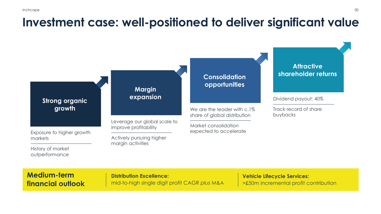### **Investment case: well-positioned to deliver significant value**

![](_page_29_Figure_2.jpeg)

#### **Medium-term financial outlook**

**Distribution Excellence:** mid-to-high single digit profit CAGR *plus* M&A

**Vehicle Lifecycle Services:** >£50m incremental profit contribution